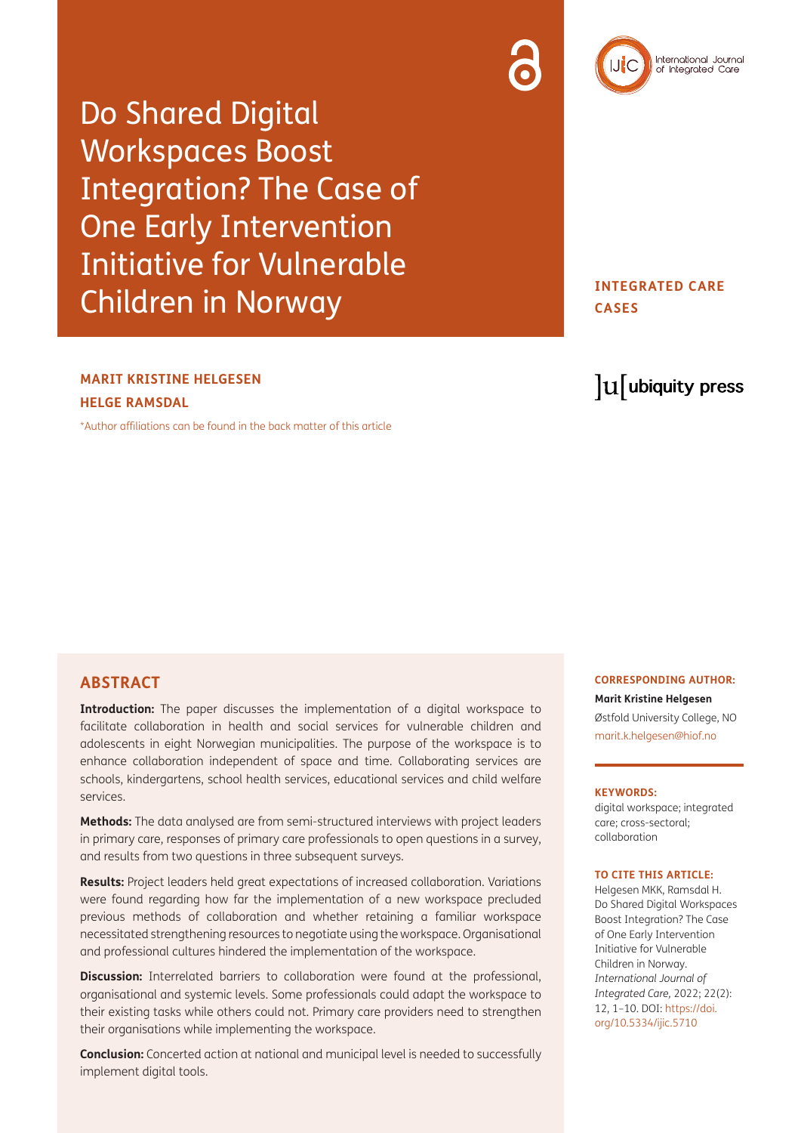

International Journal<br>of Integrated Care

# **INTEGRATED CARE CASES**

# **MARIT KRISTINE HELGESEN HELGE RAMSDAL**

[\\*Author affiliations can be found in the back matter of this article](#page-7-0)

# **ABSTRACT**

**Introduction:** The paper discusses the implementation of a digital workspace to facilitate collaboration in health and social services for vulnerable children and adolescents in eight Norwegian municipalities. The purpose of the workspace is to enhance collaboration independent of space and time. Collaborating services are schools, kindergartens, school health services, educational services and child welfare services.

**Methods:** The data analysed are from semi-structured interviews with project leaders in primary care, responses of primary care professionals to open questions in a survey, and results from two questions in three subsequent surveys.

**Results:** Project leaders held great expectations of increased collaboration. Variations were found regarding how far the implementation of a new workspace precluded previous methods of collaboration and whether retaining a familiar workspace necessitated strengthening resources to negotiate using the workspace. Organisational and professional cultures hindered the implementation of the workspace.

**Discussion:** Interrelated barriers to collaboration were found at the professional, organisational and systemic levels. Some professionals could adapt the workspace to their existing tasks while others could not. Primary care providers need to strengthen their organisations while implementing the workspace.

**Conclusion:** Concerted action at national and municipal level is needed to successfully implement digital tools.

lu ubiquity press

#### **CORRESPONDING AUTHOR:**

**Marit Kristine Helgesen** Østfold University College, NO [marit.k.helgesen@hiof.no](mailto:marit.k.helgesen@hiof.no)

#### **KEYWORDS:**

digital workspace; integrated care; cross-sectoral; collaboration

#### **TO CITE THIS ARTICLE:**

Helgesen MKK, Ramsdal H. Do Shared Digital Workspaces Boost Integration? The Case of One Early Intervention Initiative for Vulnerable Children in Norway. *International Journal of Integrated Care,* 2022; 22(2): 12, 1–10. DOI: [https://doi.](https://doi.org/10.5334/ijic.5710) [org/10.5334/ijic.5710](https://doi.org/10.5334/ijic.5710)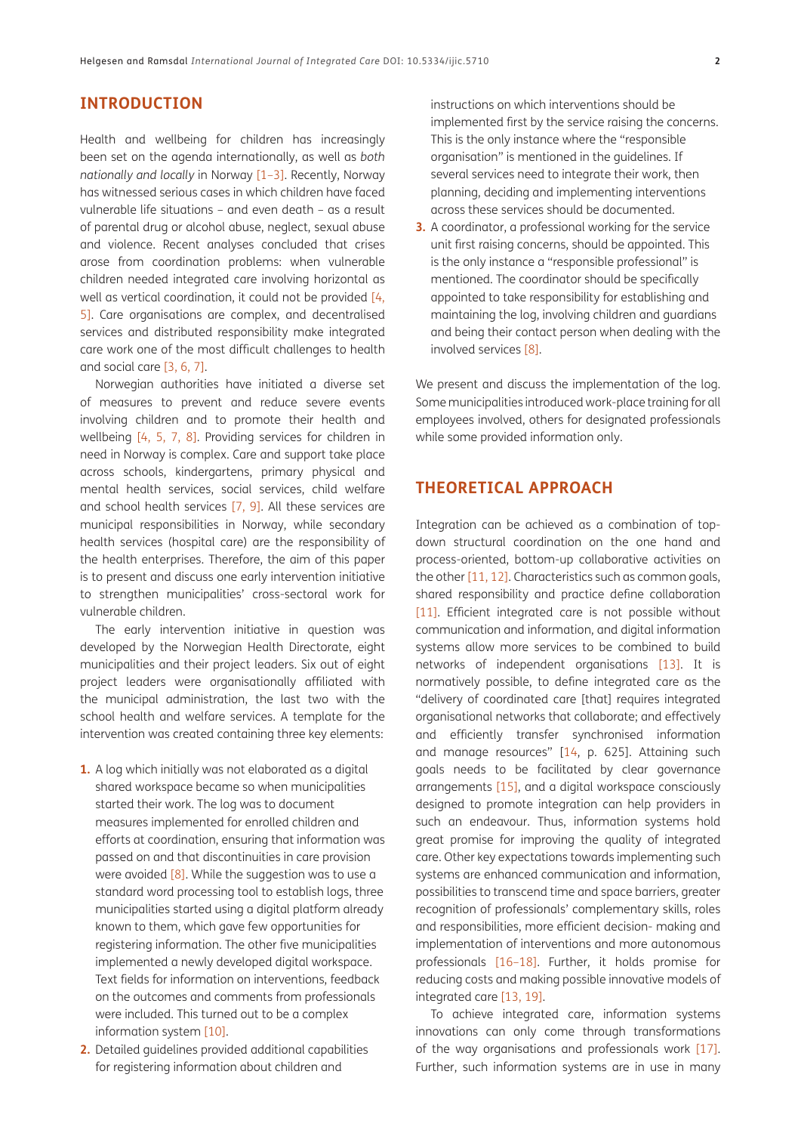# **INTRODUCTION**

Health and wellbeing for children has increasingly been set on the agenda internationally, as well as *both nationally and locally* in Norway [[1](#page-8-0)[–3](#page-8-1)]. Recently, Norway has witnessed serious cases in which children have faced vulnerable life situations – and even death – as a result of parental drug or alcohol abuse, neglect, sexual abuse and violence. Recent analyses concluded that crises arose from coordination problems: when vulnerable children needed integrated care involving horizontal as well as vertical coordination, it could not be provided [[4](#page-8-2), [5\]](#page-8-3). Care organisations are complex, and decentralised services and distributed responsibility make integrated care work one of the most difficult challenges to health and social care [[3,](#page-8-1) [6](#page-8-4), [7](#page-8-5)].

Norwegian authorities have initiated a diverse set of measures to prevent and reduce severe events involving children and to promote their health and wellbeing [[4,](#page-8-2) [5](#page-8-3), [7](#page-8-5), [8](#page-8-6)]. Providing services for children in need in Norway is complex. Care and support take place across schools, kindergartens, primary physical and mental health services, social services, child welfare and school health services [\[7](#page-8-5), [9\]](#page-8-7). All these services are municipal responsibilities in Norway, while secondary health services (hospital care) are the responsibility of the health enterprises. Therefore, the aim of this paper is to present and discuss one early intervention initiative to strengthen municipalities' cross-sectoral work for vulnerable children.

The early intervention initiative in question was developed by the Norwegian Health Directorate, eight municipalities and their project leaders. Six out of eight project leaders were organisationally affiliated with the municipal administration, the last two with the school health and welfare services. A template for the intervention was created containing three key elements:

- **1.** A log which initially was not elaborated as a digital shared workspace became so when municipalities started their work. The log was to document measures implemented for enrolled children and efforts at coordination, ensuring that information was passed on and that discontinuities in care provision were avoided  $[8]$  $[8]$ . While the suggestion was to use a standard word processing tool to establish logs, three municipalities started using a digital platform already known to them, which gave few opportunities for registering information. The other five municipalities implemented a newly developed digital workspace. Text fields for information on interventions, feedback on the outcomes and comments from professionals were included. This turned out to be a complex information system [[10\]](#page-8-8).
- **2.** Detailed guidelines provided additional capabilities for registering information about children and

instructions on which interventions should be implemented first by the service raising the concerns. This is the only instance where the "responsible organisation" is mentioned in the guidelines. If several services need to integrate their work, then planning, deciding and implementing interventions across these services should be documented.

**3.** A coordinator, a professional working for the service unit first raising concerns, should be appointed. This is the only instance a "responsible professional" is mentioned. The coordinator should be specifically appointed to take responsibility for establishing and maintaining the log, involving children and guardians and being their contact person when dealing with the involved services [[8\]](#page-8-6).

We present and discuss the implementation of the log. Some municipalities introduced work-place training for all employees involved, others for designated professionals while some provided information only.

## **THEORETICAL APPROACH**

Integration can be achieved as a combination of topdown structural coordination on the one hand and process-oriented, bottom-up collaborative activities on the other [\[11,](#page-8-9) [12](#page-8-10)]. Characteristics such as common goals, shared responsibility and practice define collaboration [[11](#page-8-9)]. Efficient integrated care is not possible without communication and information, and digital information systems allow more services to be combined to build networks of independent organisations [\[13\]](#page-8-11). It is normatively possible, to define integrated care as the "delivery of coordinated care [that] requires integrated organisational networks that collaborate; and effectively and efficiently transfer synchronised information and manage resources" [\[14](#page-8-12), p. 625]. Attaining such goals needs to be facilitated by clear governance arrangements [[15](#page-8-13)], and a digital workspace consciously designed to promote integration can help providers in such an endeavour. Thus, information systems hold great promise for improving the quality of integrated care. Other key expectations towards implementing such systems are enhanced communication and information, possibilities to transcend time and space barriers, greater recognition of professionals' complementary skills, roles and responsibilities, more efficient decision- making and implementation of interventions and more autonomous professionals [\[16](#page-8-14)–[18](#page-8-15)]. Further, it holds promise for reducing costs and making possible innovative models of integrated care [\[13,](#page-8-11) [19](#page-8-16)].

To achieve integrated care, information systems innovations can only come through transformations of the way organisations and professionals work [\[17\]](#page-8-17). Further, such information systems are in use in many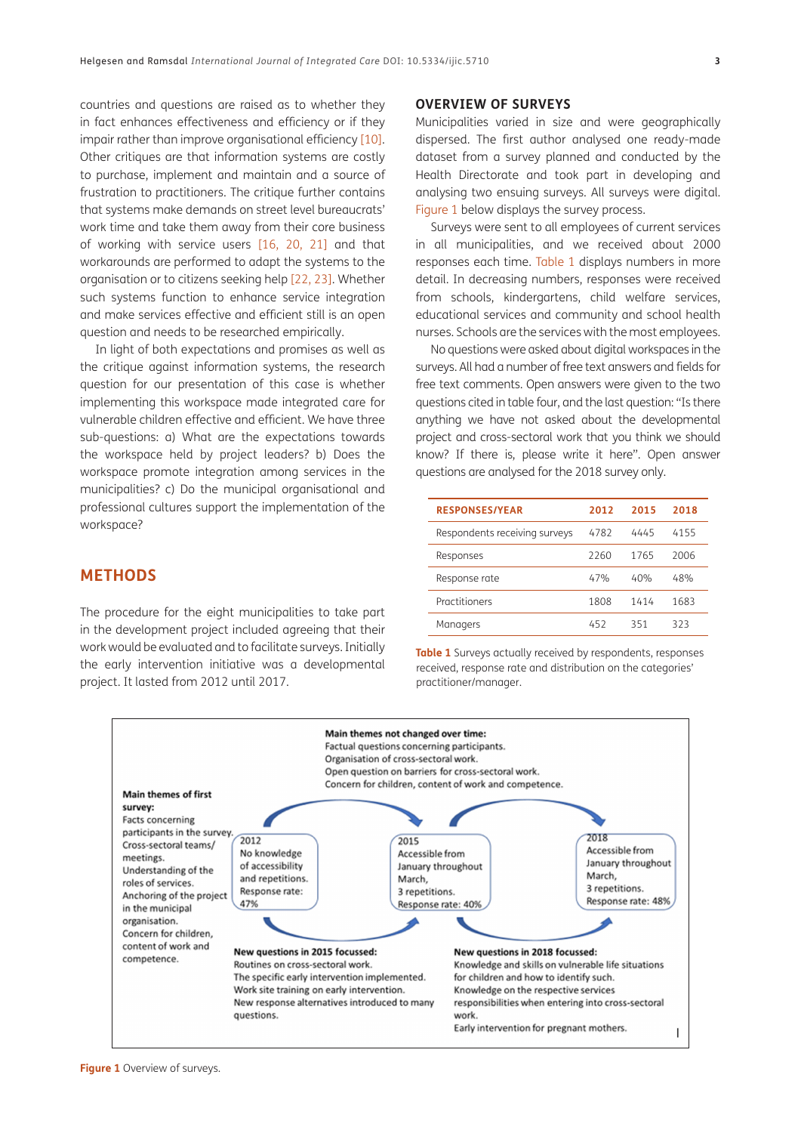countries and questions are raised as to whether they in fact enhances effectiveness and efficiency or if they impair rather than improve organisational efficiency [[10](#page-8-8)]. Other critiques are that information systems are costly to purchase, implement and maintain and a source of frustration to practitioners. The critique further contains that systems make demands on street level bureaucrats' work time and take them away from their core business of working with service users [[16](#page-8-14), [20,](#page-8-18) [21\]](#page-8-19) and that workarounds are performed to adapt the systems to the organisation or to citizens seeking help [\[22](#page-8-20), [23\]](#page-8-21). Whether such systems function to enhance service integration and make services effective and efficient still is an open question and needs to be researched empirically.

In light of both expectations and promises as well as the critique against information systems, the research question for our presentation of this case is whether implementing this workspace made integrated care for vulnerable children effective and efficient. We have three sub-questions: a) What are the expectations towards the workspace held by project leaders? b) Does the workspace promote integration among services in the municipalities? c) Do the municipal organisational and professional cultures support the implementation of the workspace?

# **METHODS**

The procedure for the eight municipalities to take part in the development project included agreeing that their work would be evaluated and to facilitate surveys. Initially the early intervention initiative was a developmental project. It lasted from 2012 until 2017.

## **OVERVIEW OF SURVEYS**

Municipalities varied in size and were geographically dispersed. The first author analysed one ready-made dataset from a survey planned and conducted by the Health Directorate and took part in developing and analysing two ensuing surveys. All surveys were digital. [Figure 1](#page-2-0) below displays the survey process.

Surveys were sent to all employees of current services in all municipalities, and we received about 2000 responses each time. [Table 1](#page-2-1) displays numbers in more detail. In decreasing numbers, responses were received from schools, kindergartens, child welfare services, educational services and community and school health nurses. Schools are the services with the most employees.

No questions were asked about digital workspaces in the surveys. All had a number of free text answers and fields for free text comments. Open answers were given to the two questions cited in table four, and the last question: "Is there anything we have not asked about the developmental project and cross-sectoral work that you think we should know? If there is, please write it here". Open answer questions are analysed for the 2018 survey only.

| <b>RESPONSES/YEAR</b>         | 2012 | 2015 | 2018 |
|-------------------------------|------|------|------|
| Respondents receiving surveys | 4782 | 4445 | 4155 |
| Responses                     | 2260 | 1765 | 2006 |
| Response rate                 | 47%  | 40%  | 48%  |
| Practitioners                 | 1808 | 1414 | 1683 |
| Managers                      | 452  | 351  | 323  |

<span id="page-2-1"></span>**Table 1** Surveys actually received by respondents, responses received, response rate and distribution on the categories' practitioner/manager.

<span id="page-2-0"></span>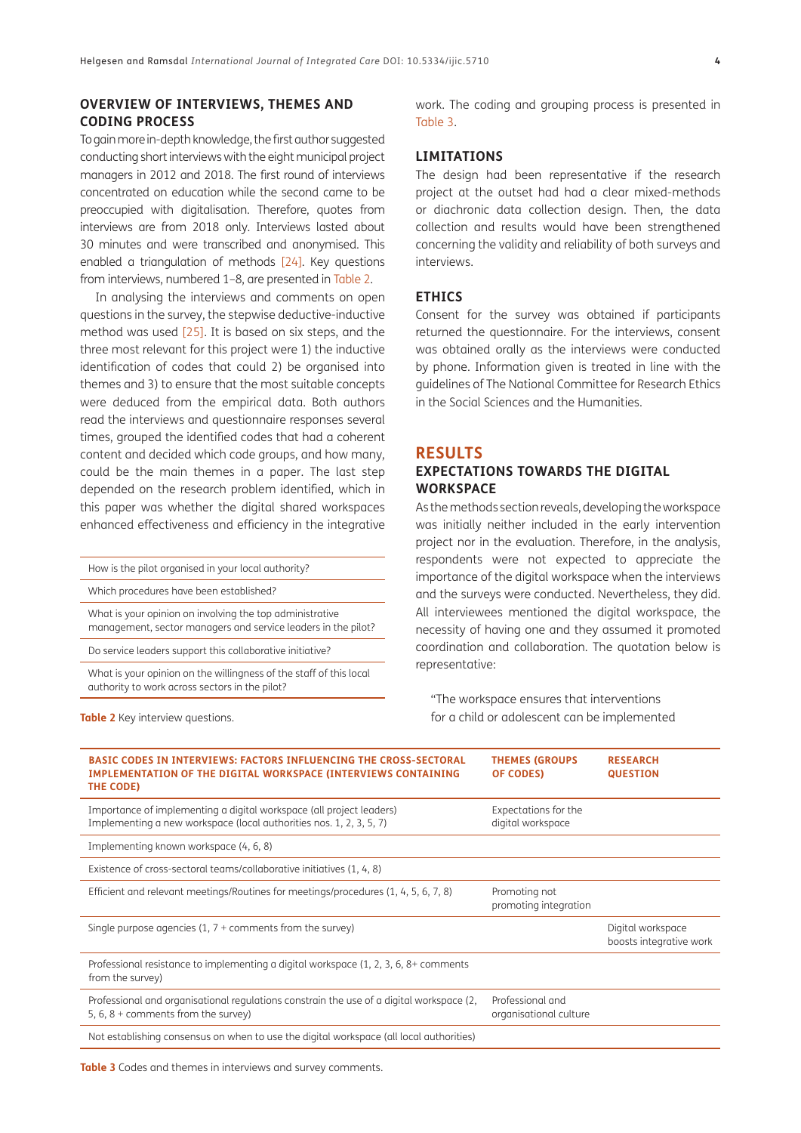## **OVERVIEW OF INTERVIEWS, THEMES AND CODING PROCESS**

To gain more in-depth knowledge, the first author suggested conducting short interviews with the eight municipal project managers in 2012 and 2018. The first round of interviews concentrated on education while the second came to be preoccupied with digitalisation. Therefore, quotes from interviews are from 2018 only. Interviews lasted about 30 minutes and were transcribed and anonymised. This enabled a triangulation of methods [[24\]](#page-8-22). Key questions from interviews, numbered 1–8, are presented in [Table 2](#page-3-0).

In analysing the interviews and comments on open questions in the survey, the stepwise deductive-inductive method was used [\[25\]](#page-8-23). It is based on six steps, and the three most relevant for this project were 1) the inductive identification of codes that could 2) be organised into themes and 3) to ensure that the most suitable concepts were deduced from the empirical data. Both authors read the interviews and questionnaire responses several times, grouped the identified codes that had a coherent content and decided which code groups, and how many, could be the main themes in a paper. The last step depended on the research problem identified, which in this paper was whether the digital shared workspaces enhanced effectiveness and efficiency in the integrative

How is the pilot organised in your local authority?

Which procedures have been established?

What is your opinion on involving the top administrative management, sector managers and service leaders in the pilot?

Do service leaders support this collaborative initiative?

What is your opinion on the willingness of the staff of this local authority to work across sectors in the pilot?

work. The coding and grouping process is presented in [Table 3.](#page-3-1)

## **LIMITATIONS**

The design had been representative if the research project at the outset had had a clear mixed-methods or diachronic data collection design. Then, the data collection and results would have been strengthened concerning the validity and reliability of both surveys and interviews.

#### **ETHICS**

Consent for the survey was obtained if participants returned the questionnaire. For the interviews, consent was obtained orally as the interviews were conducted by phone. Information given is treated in line with the guidelines of The National Committee for Research Ethics in the Social Sciences and the Humanities.

### **RESULTS**

## **EXPECTATIONS TOWARDS THE DIGITAL WORKSPACE**

As the methods section reveals, developing the workspace was initially neither included in the early intervention project nor in the evaluation. Therefore, in the analysis, respondents were not expected to appreciate the importance of the digital workspace when the interviews and the surveys were conducted. Nevertheless, they did. All interviewees mentioned the digital workspace, the necessity of having one and they assumed it promoted coordination and collaboration. The quotation below is representative:

"The workspace ensures that interventions for a child or adolescent can be implemented

| <b>BASIC CODES IN INTERVIEWS: FACTORS INFLUENCING THE CROSS-SECTORAL</b><br><b>IMPLEMENTATION OF THE DIGITAL WORKSPACE (INTERVIEWS CONTAINING</b><br>THE CODE) | <b>THEMES (GROUPS</b><br>OF CODES)         | <b>RESEARCH</b><br><b>QUESTION</b>           |
|----------------------------------------------------------------------------------------------------------------------------------------------------------------|--------------------------------------------|----------------------------------------------|
| Importance of implementing a digital workspace (all project leaders)<br>Implementing a new workspace (local authorities nos. 1, 2, 3, 5, 7)                    | Expectations for the<br>digital workspace  |                                              |
| Implementing known workspace (4, 6, 8)                                                                                                                         |                                            |                                              |
| Existence of cross-sectoral teams/collaborative initiatives (1, 4, 8)                                                                                          |                                            |                                              |
| Efficient and relevant meetings/Routines for meetings/procedures (1, 4, 5, 6, 7, 8)                                                                            | Promoting not<br>promoting integration     |                                              |
| Single purpose agencies $(1, 7 +$ comments from the survey)                                                                                                    |                                            | Digital workspace<br>boosts integrative work |
| Professional resistance to implementing a digital workspace $(1, 2, 3, 6, 8)$ comments<br>from the survey)                                                     |                                            |                                              |
| Professional and organisational regulations constrain the use of a digital workspace (2,<br>5, 6, 8 + comments from the survey)                                | Professional and<br>organisational culture |                                              |
| Not establishing consensus on when to use the digital workspace (all local authorities)                                                                        |                                            |                                              |

<span id="page-3-1"></span>**Table 3** Codes and themes in interviews and survey comments.

#### <span id="page-3-0"></span>**Table 2** Key interview questions.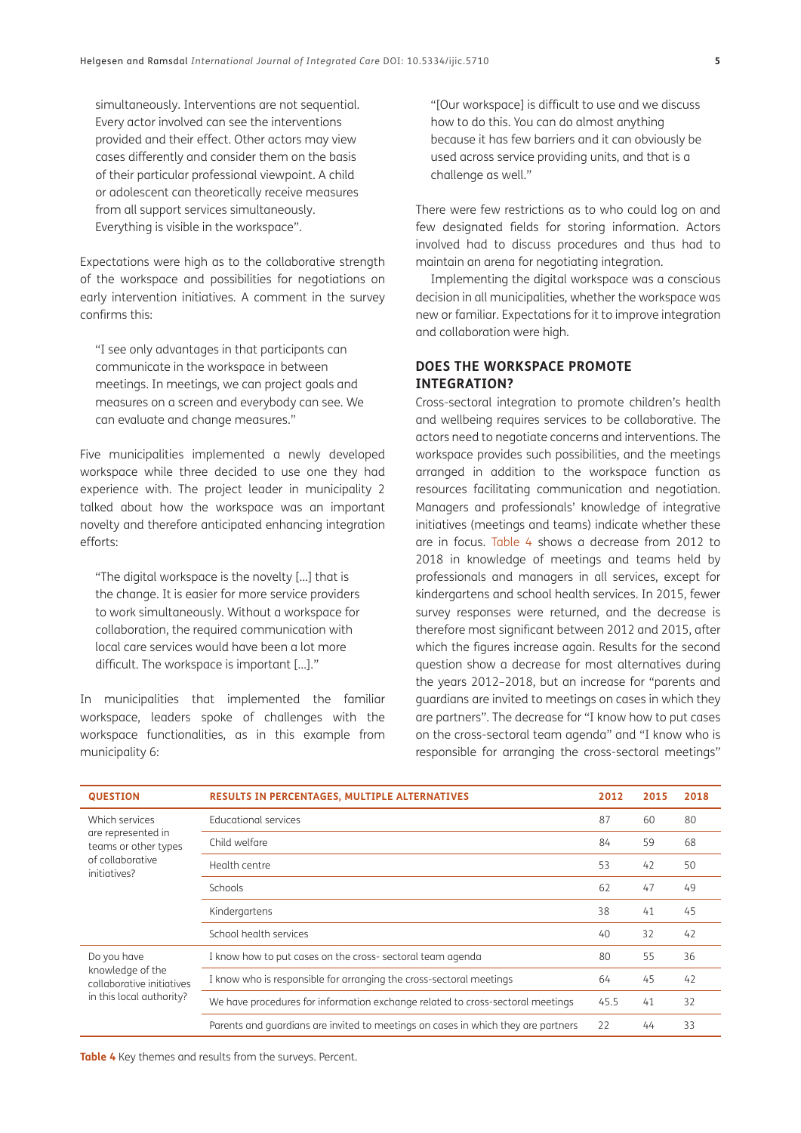simultaneously. Interventions are not sequential. Every actor involved can see the interventions provided and their effect. Other actors may view cases differently and consider them on the basis of their particular professional viewpoint. A child or adolescent can theoretically receive measures from all support services simultaneously. Everything is visible in the workspace".

Expectations were high as to the collaborative strength of the workspace and possibilities for negotiations on early intervention initiatives. A comment in the survey confirms this:

"I see only advantages in that participants can communicate in the workspace in between meetings. In meetings, we can project goals and measures on a screen and everybody can see. We can evaluate and change measures."

Five municipalities implemented a newly developed workspace while three decided to use one they had experience with. The project leader in municipality 2 talked about how the workspace was an important novelty and therefore anticipated enhancing integration efforts:

"The digital workspace is the novelty […] that is the change. It is easier for more service providers to work simultaneously. Without a workspace for collaboration, the required communication with local care services would have been a lot more difficult. The workspace is important […]."

In municipalities that implemented the familiar workspace, leaders spoke of challenges with the workspace functionalities, as in this example from municipality 6:

"[Our workspace] is difficult to use and we discuss how to do this. You can do almost anything because it has few barriers and it can obviously be used across service providing units, and that is a challenge as well."

There were few restrictions as to who could log on and few designated fields for storing information. Actors involved had to discuss procedures and thus had to maintain an arena for negotiating integration.

Implementing the digital workspace was a conscious decision in all municipalities, whether the workspace was new or familiar. Expectations for it to improve integration and collaboration were high.

## **DOES THE WORKSPACE PROMOTE INTEGRATION?**

Cross-sectoral integration to promote children's health and wellbeing requires services to be collaborative. The actors need to negotiate concerns and interventions. The workspace provides such possibilities, and the meetings arranged in addition to the workspace function as resources facilitating communication and negotiation. Managers and professionals' knowledge of integrative initiatives (meetings and teams) indicate whether these are in focus. [Table 4](#page-4-0) shows a decrease from 2012 to 2018 in knowledge of meetings and teams held by professionals and managers in all services, except for kindergartens and school health services. In 2015, fewer survey responses were returned, and the decrease is therefore most significant between 2012 and 2015, after which the figures increase again. Results for the second question show a decrease for most alternatives during the years 2012–2018, but an increase for "parents and guardians are invited to meetings on cases in which they are partners". The decrease for "I know how to put cases on the cross-sectoral team agenda" and "I know who is responsible for arranging the cross-sectoral meetings"

| <b>QUESTION</b>                                                                                  | <b>RESULTS IN PERCENTAGES, MULTIPLE ALTERNATIVES</b>                              |      | 2015 | 2018 |
|--------------------------------------------------------------------------------------------------|-----------------------------------------------------------------------------------|------|------|------|
| Which services<br>are represented in<br>teams or other types<br>of collaborative<br>initiatives? | Educational services                                                              | 87   | 60   | 80   |
|                                                                                                  | Child welfare                                                                     | 84   | 59   | 68   |
|                                                                                                  | Health centre                                                                     | 53   | 42   | 50   |
|                                                                                                  | Schools                                                                           | 62   | 47   | 49   |
|                                                                                                  | Kindergartens                                                                     | 38   | 41   | 45   |
|                                                                                                  | School health services                                                            | 40   | 32   | 42   |
| Do you have<br>knowledge of the<br>collaborative initiatives<br>in this local authority?         | I know how to put cases on the cross-sectoral team agenda                         | 80   | 55   | 36   |
|                                                                                                  | I know who is responsible for arranging the cross-sectoral meetings               | 64   | 45   | 42   |
|                                                                                                  | We have procedures for information exchange related to cross-sectoral meetings    | 45.5 | 41   | 32   |
|                                                                                                  | Parents and quardians are invited to meetings on cases in which they are partners | 22   | 44   | 33   |

<span id="page-4-0"></span>**Table 4** Key themes and results from the surveys. Percent.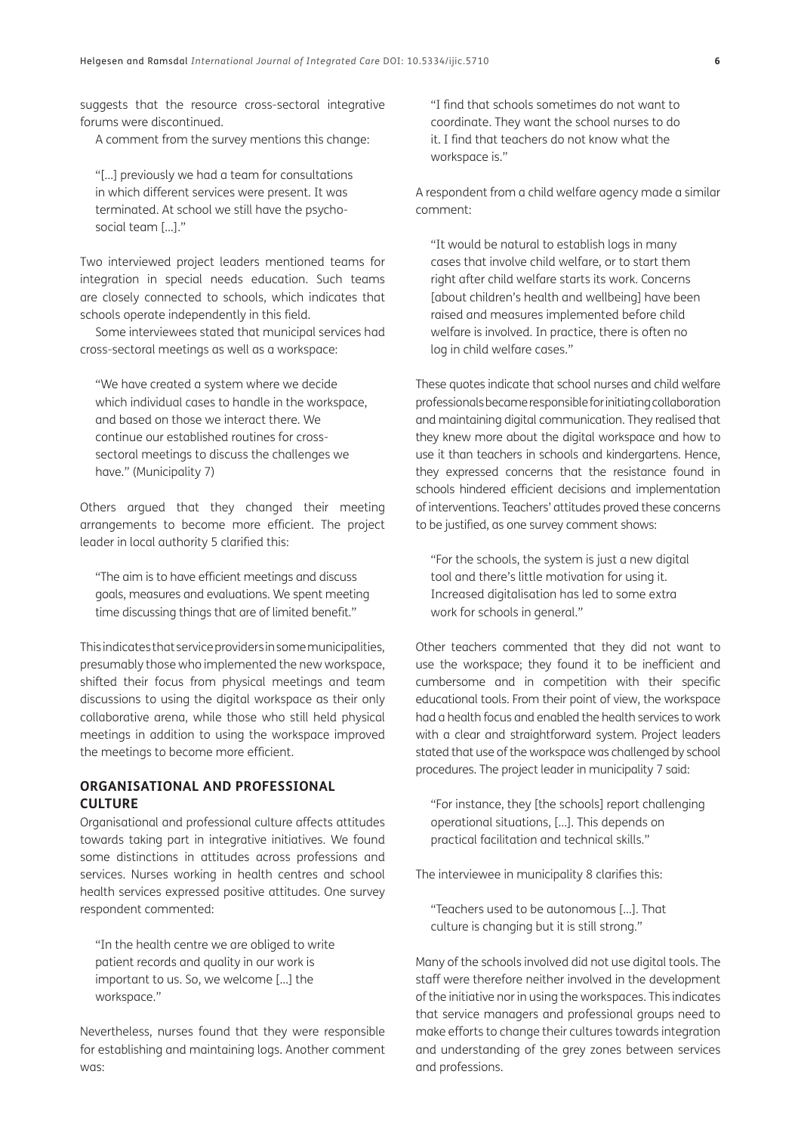suggests that the resource cross-sectoral integrative forums were discontinued.

A comment from the survey mentions this change:

"[…] previously we had a team for consultations in which different services were present. It was terminated. At school we still have the psychosocial team […]."

Two interviewed project leaders mentioned teams for integration in special needs education. Such teams are closely connected to schools, which indicates that schools operate independently in this field.

Some interviewees stated that municipal services had cross-sectoral meetings as well as a workspace:

"We have created a system where we decide which individual cases to handle in the workspace, and based on those we interact there. We continue our established routines for crosssectoral meetings to discuss the challenges we have." (Municipality 7)

Others argued that they changed their meeting arrangements to become more efficient. The project leader in local authority 5 clarified this:

"The aim is to have efficient meetings and discuss goals, measures and evaluations. We spent meeting time discussing things that are of limited benefit."

This indicates that service providers in some municipalities, presumably those who implemented the new workspace, shifted their focus from physical meetings and team discussions to using the digital workspace as their only collaborative arena, while those who still held physical meetings in addition to using the workspace improved the meetings to become more efficient.

## **ORGANISATIONAL AND PROFESSIONAL CULTURE**

Organisational and professional culture affects attitudes towards taking part in integrative initiatives. We found some distinctions in attitudes across professions and services. Nurses working in health centres and school health services expressed positive attitudes. One survey respondent commented:

"In the health centre we are obliged to write patient records and quality in our work is important to us. So, we welcome […] the workspace."

Nevertheless, nurses found that they were responsible for establishing and maintaining logs. Another comment was:

"I find that schools sometimes do not want to coordinate. They want the school nurses to do it. I find that teachers do not know what the workspace is."

A respondent from a child welfare agency made a similar comment:

"It would be natural to establish logs in many cases that involve child welfare, or to start them right after child welfare starts its work. Concerns [about children's health and wellbeing] have been raised and measures implemented before child welfare is involved. In practice, there is often no log in child welfare cases."

These quotes indicate that school nurses and child welfare professionals became responsible for initiating collaboration and maintaining digital communication. They realised that they knew more about the digital workspace and how to use it than teachers in schools and kindergartens. Hence, they expressed concerns that the resistance found in schools hindered efficient decisions and implementation of interventions. Teachers' attitudes proved these concerns to be justified, as one survey comment shows:

"For the schools, the system is just a new digital tool and there's little motivation for using it. Increased digitalisation has led to some extra work for schools in general."

Other teachers commented that they did not want to use the workspace; they found it to be inefficient and cumbersome and in competition with their specific educational tools. From their point of view, the workspace had a health focus and enabled the health services to work with a clear and straightforward system. Project leaders stated that use of the workspace was challenged by school procedures. The project leader in municipality 7 said:

"For instance, they [the schools] report challenging operational situations, […]. This depends on practical facilitation and technical skills."

The interviewee in municipality 8 clarifies this:

"Teachers used to be autonomous […]. That culture is changing but it is still strong."

Many of the schools involved did not use digital tools. The staff were therefore neither involved in the development of the initiative nor in using the workspaces. This indicates that service managers and professional groups need to make efforts to change their cultures towards integration and understanding of the grey zones between services and professions.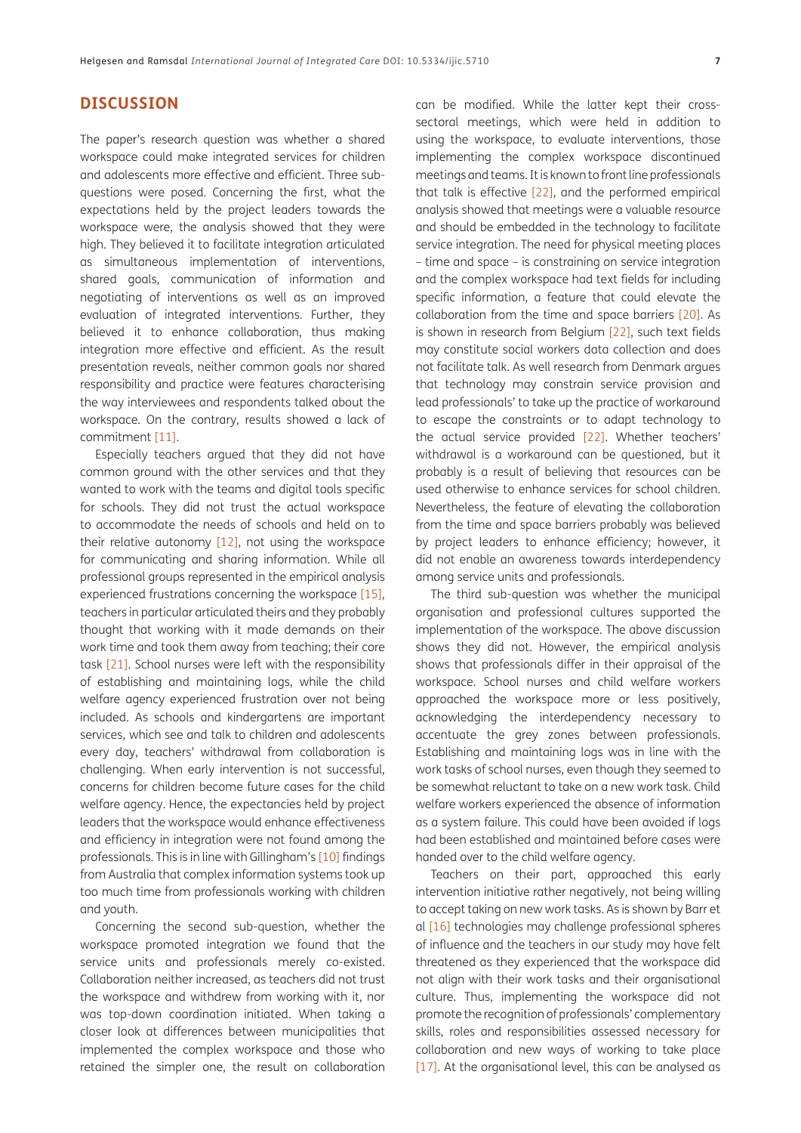## **DISCUSSION**

The paper's research question was whether a shared workspace could make integrated services for children and adolescents more effective and efficient. Three subquestions were posed. Concerning the first, what the expectations held by the project leaders towards the workspace were, the analysis showed that they were high. They believed it to facilitate integration articulated as simultaneous implementation of interventions, shared goals, communication of information and negotiating of interventions as well as an improved evaluation of integrated interventions. Further, they believed it to enhance collaboration, thus making integration more effective and efficient. As the result presentation reveals, neither common goals nor shared responsibility and practice were features characterising the way interviewees and respondents talked about the workspace. On the contrary, results showed a lack of commitment [[11](#page-8-9)].

Especially teachers argued that they did not have common ground with the other services and that they wanted to work with the teams and digital tools specific for schools. They did not trust the actual workspace to accommodate the needs of schools and held on to their relative autonomy [[12](#page-8-10)], not using the workspace for communicating and sharing information. While all professional groups represented in the empirical analysis experienced frustrations concerning the workspace [[15](#page-8-13)], teachers in particular articulated theirs and they probably thought that working with it made demands on their work time and took them away from teaching; their core task [[21](#page-8-19)]. School nurses were left with the responsibility of establishing and maintaining logs, while the child welfare agency experienced frustration over not being included. As schools and kindergartens are important services, which see and talk to children and adolescents every day, teachers' withdrawal from collaboration is challenging. When early intervention is not successful, concerns for children become future cases for the child welfare agency. Hence, the expectancies held by project leaders that the workspace would enhance effectiveness and efficiency in integration were not found among the professionals. This is in line with Gillingham's [[10\]](#page-8-8) findings from Australia that complex information systems took up too much time from professionals working with children and youth.

Concerning the second sub-question, whether the workspace promoted integration we found that the service units and professionals merely co-existed. Collaboration neither increased, as teachers did not trust the workspace and withdrew from working with it, nor was top-down coordination initiated. When taking a closer look at differences between municipalities that implemented the complex workspace and those who retained the simpler one, the result on collaboration can be modified. While the latter kept their crosssectoral meetings, which were held in addition to using the workspace, to evaluate interventions, those implementing the complex workspace discontinued meetings and teams. It is known to front line professionals that talk is effective [\[22](#page-8-20)], and the performed empirical analysis showed that meetings were a valuable resource and should be embedded in the technology to facilitate service integration. The need for physical meeting places – time and space – is constraining on service integration and the complex workspace had text fields for including specific information, a feature that could elevate the collaboration from the time and space barriers [\[20\]](#page-8-18). As is shown in research from Belgium [[22\]](#page-8-20), such text fields may constitute social workers data collection and does not facilitate talk. As well research from Denmark argues that technology may constrain service provision and lead professionals' to take up the practice of workaround to escape the constraints or to adapt technology to the actual service provided [[22\]](#page-8-20). Whether teachers' withdrawal is a workaround can be questioned, but it probably is a result of believing that resources can be used otherwise to enhance services for school children. Nevertheless, the feature of elevating the collaboration from the time and space barriers probably was believed by project leaders to enhance efficiency; however, it did not enable an awareness towards interdependency among service units and professionals.

The third sub-question was whether the municipal organisation and professional cultures supported the implementation of the workspace. The above discussion shows they did not. However, the empirical analysis shows that professionals differ in their appraisal of the workspace. School nurses and child welfare workers approached the workspace more or less positively, acknowledging the interdependency necessary to accentuate the grey zones between professionals. Establishing and maintaining logs was in line with the work tasks of school nurses, even though they seemed to be somewhat reluctant to take on a new work task. Child welfare workers experienced the absence of information as a system failure. This could have been avoided if logs had been established and maintained before cases were handed over to the child welfare agency.

Teachers on their part, approached this early intervention initiative rather negatively, not being willing to accept taking on new work tasks. As is shown by Barr et al [[16](#page-8-14)] technologies may challenge professional spheres of influence and the teachers in our study may have felt threatened as they experienced that the workspace did not align with their work tasks and their organisational culture. Thus, implementing the workspace did not promote the recognition of professionals' complementary skills, roles and responsibilities assessed necessary for collaboration and new ways of working to take place [[17](#page-8-17)]. At the organisational level, this can be analysed as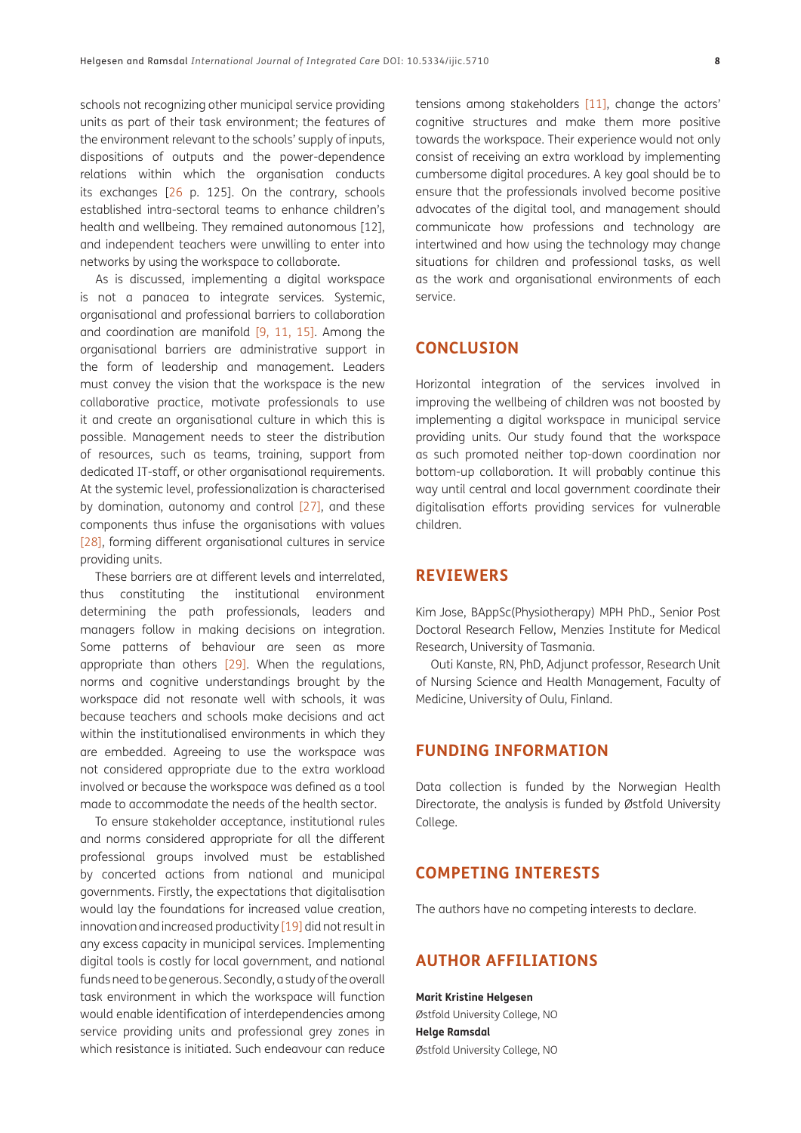schools not recognizing other municipal service providing units as part of their task environment; the features of the environment relevant to the schools' supply of inputs, dispositions of outputs and the power-dependence relations within which the organisation conducts its exchanges [\[26](#page-8-24) p. 125]. On the contrary, schools established intra-sectoral teams to enhance children's health and wellbeing. They remained autonomous [12], and independent teachers were unwilling to enter into networks by using the workspace to collaborate.

As is discussed, implementing a digital workspace is not a panacea to integrate services. Systemic, organisational and professional barriers to collaboration and coordination are manifold [[9](#page-8-7), [11](#page-8-9), [15\]](#page-8-13). Among the organisational barriers are administrative support in the form of leadership and management. Leaders must convey the vision that the workspace is the new collaborative practice, motivate professionals to use it and create an organisational culture in which this is possible. Management needs to steer the distribution of resources, such as teams, training, support from dedicated IT-staff, or other organisational requirements. At the systemic level, professionalization is characterised by domination, autonomy and control [\[27\]](#page-8-25), and these components thus infuse the organisations with values [\[28\]](#page-8-26), forming different organisational cultures in service providing units.

These barriers are at different levels and interrelated, thus constituting the institutional environment determining the path professionals, leaders and managers follow in making decisions on integration. Some patterns of behaviour are seen as more appropriate than others [[29](#page-8-27)]. When the regulations, norms and cognitive understandings brought by the workspace did not resonate well with schools, it was because teachers and schools make decisions and act within the institutionalised environments in which they are embedded. Agreeing to use the workspace was not considered appropriate due to the extra workload involved or because the workspace was defined as a tool made to accommodate the needs of the health sector.

To ensure stakeholder acceptance, institutional rules and norms considered appropriate for all the different professional groups involved must be established by concerted actions from national and municipal governments. Firstly, the expectations that digitalisation would lay the foundations for increased value creation, innovation and increased productivity [[19](#page-8-16)] did not result in any excess capacity in municipal services. Implementing digital tools is costly for local government, and national funds need to be generous. Secondly, a study of the overall task environment in which the workspace will function would enable identification of interdependencies among service providing units and professional grey zones in which resistance is initiated. Such endeavour can reduce

tensions among stakeholders [[11](#page-8-9)], change the actors' cognitive structures and make them more positive towards the workspace. Their experience would not only consist of receiving an extra workload by implementing cumbersome digital procedures. A key goal should be to ensure that the professionals involved become positive advocates of the digital tool, and management should communicate how professions and technology are intertwined and how using the technology may change situations for children and professional tasks, as well as the work and organisational environments of each service.

## **CONCLUSION**

Horizontal integration of the services involved in improving the wellbeing of children was not boosted by implementing a digital workspace in municipal service providing units. Our study found that the workspace as such promoted neither top-down coordination nor bottom-up collaboration. It will probably continue this way until central and local government coordinate their digitalisation efforts providing services for vulnerable children.

# **REVIEWERS**

Kim Jose, BAppSc(Physiotherapy) MPH PhD., Senior Post Doctoral Research Fellow, Menzies Institute for Medical Research, University of Tasmania.

Outi Kanste, RN, PhD, Adjunct professor, Research Unit of Nursing Science and Health Management, Faculty of Medicine, University of Oulu, Finland.

## **FUNDING INFORMATION**

Data collection is funded by the Norwegian Health Directorate, the analysis is funded by Østfold University College.

## **COMPETING INTERESTS**

The authors have no competing interests to declare.

# <span id="page-7-0"></span>**AUTHOR AFFILIATIONS**

**Marit Kristine Helgesen** Østfold University College, NO **Helge Ramsdal** Østfold University College, NO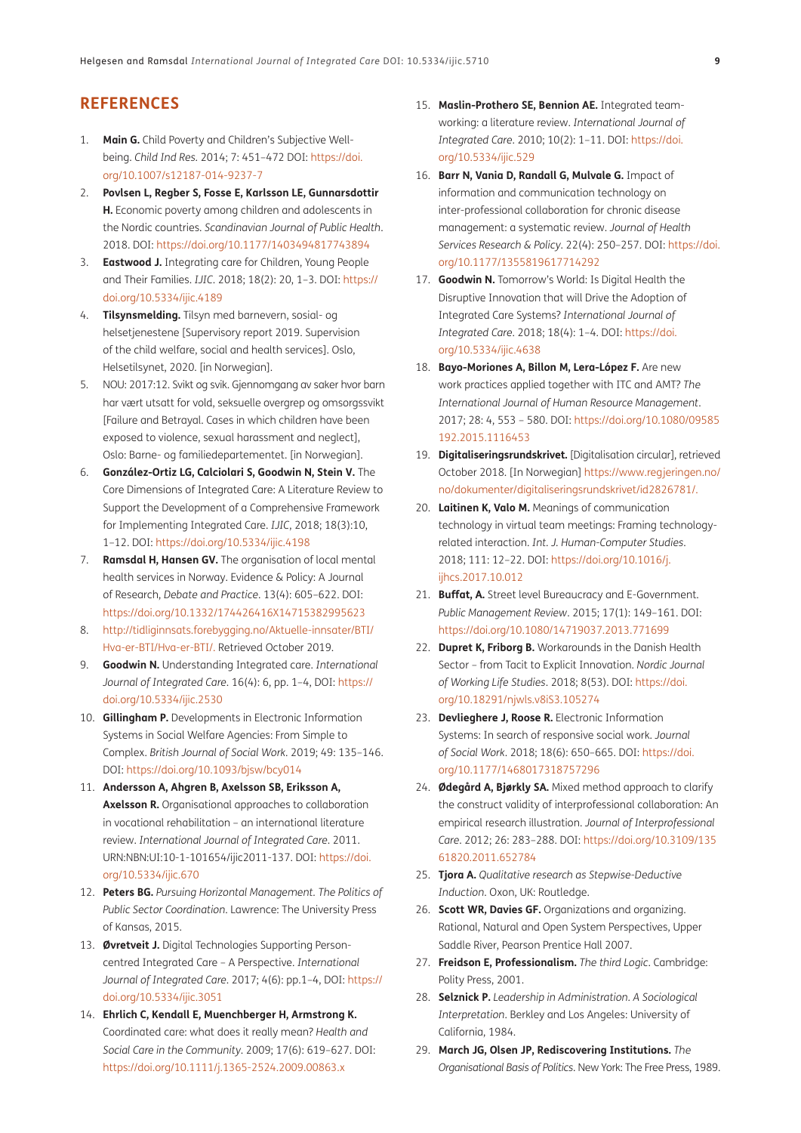# **REFERENCES**

- <span id="page-8-0"></span>1. **Main G.** Child Poverty and Children's Subjective Wellbeing. *Child Ind Res.* 2014; 7: 451–472 DOI: [https://doi.](https://doi.org/10.1007/s12187-014-9237-7) [org/10.1007/s12187-014-9237-7](https://doi.org/10.1007/s12187-014-9237-7)
- 2. **Povlsen L, Regber S, Fosse E, Karlsson LE, Gunnarsdottir H.** Economic poverty among children and adolescents in the Nordic countries. *Scandinavian Journal of Public Health*. 2018. DOI: [https://doi.org/10.1177/1403494817743894](https://doi.org/10.1177/1403494817743894 )
- <span id="page-8-1"></span>3. **Eastwood J.** Integrating care for Children, Young People and Their Families. *IJIC*. 2018; 18(2): 20, 1–3. DOI: [https://](https://doi.org/10.5334/ijic.4189 ) [doi.org/10.5334/ijic.4189](https://doi.org/10.5334/ijic.4189 )
- <span id="page-8-2"></span>4. **Tilsynsmelding.** Tilsyn med barnevern, sosial- og helsetjenestene [Supervisory report 2019. Supervision of the child welfare, social and health services]. Oslo, Helsetilsynet, 2020. [in Norwegian].
- <span id="page-8-3"></span>5. NOU: 2017:12. Svikt og svik. Gjennomgang av saker hvor barn har vært utsatt for vold, seksuelle overgrep og omsorgssvikt [Failure and Betrayal. Cases in which children have been exposed to violence, sexual harassment and neglect], Oslo: Barne- og familiedepartementet. [in Norwegian].
- <span id="page-8-4"></span>6. **González-Ortiz LG, Calciolari S, Goodwin N, Stein V.** The Core Dimensions of Integrated Care: A Literature Review to Support the Development of a Comprehensive Framework for Implementing Integrated Care. *IJIC*, 2018; 18(3):10, 1–12. DOI: [https://doi.org/10.5334/ijic.4198](https://doi.org/10.5334/ijic.4198 )
- <span id="page-8-5"></span>7. **Ramsdal H, Hansen GV.** The organisation of local mental health services in Norway. Evidence & Policy: A Journal of Research, *Debate and Practice*. 13(4): 605–622. DOI: [https://doi.org/10.1332/174426416X14715382995623](https://doi.org/10.1332/174426416X14715382995623 )
- <span id="page-8-6"></span>8. [http://tidliginnsats.forebygging.no/Aktuelle-innsater/BTI/](http://tidliginnsats.forebygging.no/Aktuelle-innsater/BTI/Hva-er-BTI/Hva-er-BTI/) [Hva-er-BTI/Hva-er-BTI/](http://tidliginnsats.forebygging.no/Aktuelle-innsater/BTI/Hva-er-BTI/Hva-er-BTI/). Retrieved October 2019.
- <span id="page-8-7"></span>9. **Goodwin N.** Understanding Integrated care. *International Journal of Integrated Care*. 16(4): 6, pp. 1–4, DOI: [https://](https://doi.org/10.5334/ijic.2530 ) [doi.org/10.5334/ijic.2530](https://doi.org/10.5334/ijic.2530 )
- <span id="page-8-8"></span>10. **Gillingham P.** Developments in Electronic Information Systems in Social Welfare Agencies: From Simple to Complex. *British Journal of Social Work.* 2019; 49: 135–146. DOI: [https://doi.org/10.1093/bjsw/bcy014](https://doi.org/10.1093/bjsw/bcy014 )
- <span id="page-8-9"></span>11. **Andersson A, Ahgren B, Axelsson SB, Eriksson A, Axelsson R.** Organisational approaches to collaboration in vocational rehabilitation – an international literature review. *International Journal of Integrated Care*. 2011. URN:NBN:UI:10-1-101654/ijic2011-137. DOI: [https://doi.](https://doi.org/10.5334/ijic.670 ) [org/10.5334/ijic.670](https://doi.org/10.5334/ijic.670 )
- <span id="page-8-10"></span>12. **Peters BG.** *Pursuing Horizontal Management. The Politics of Public Sector Coordination*. Lawrence: The University Press of Kansas, 2015.
- <span id="page-8-11"></span>13. **Øvretveit J.** Digital Technologies Supporting Personcentred Integrated Care – A Perspective. *International Journal of Integrated Care*. 2017; 4(6): pp.1–4, DOI: [https://](https://doi.org/10.5334/ijic.3051 ) [doi.org/10.5334/ijic.3051](https://doi.org/10.5334/ijic.3051 )
- <span id="page-8-12"></span>14. **Ehrlich C, Kendall E, Muenchberger H, Armstrong K.**  Coordinated care: what does it really mean? *Health and Social Care in the Community*. 2009; 17(6): 619–627. DOI: [https://doi.org/10.1111/j.1365-2524.2009.00863.x](https://doi.org/10.1111/j.1365-2524.2009.00863.x )
- <span id="page-8-13"></span>15. **Maslin-Prothero SE, Bennion AE.** Integrated teamworking: a literature review. *International Journal of Integrated Care*. 2010; 10(2): 1–11. DOI: [https://doi.](https://doi.org/10.5334/ijic.529 ) [org/10.5334/ijic.529](https://doi.org/10.5334/ijic.529 )
- <span id="page-8-14"></span>16. **Barr N, Vania D, Randall G, Mulvale G.** Impact of information and communication technology on inter-professional collaboration for chronic disease management: a systematic review. *Journal of Health Services Research & Policy*. 22(4): 250–257. DOI: [https://doi.](https://doi.org/10.1177/1355819617714292 ) [org/10.1177/1355819617714292](https://doi.org/10.1177/1355819617714292 )
- <span id="page-8-17"></span>17. **Goodwin N.** Tomorrow's World: Is Digital Health the Disruptive Innovation that will Drive the Adoption of Integrated Care Systems? *International Journal of Integrated Care*. 2018; 18(4): 1–4. DOI: [https://doi.](https://doi.org/10.5334/ijic.4638 ) [org/10.5334/ijic.4638](https://doi.org/10.5334/ijic.4638 )
- <span id="page-8-15"></span>18. Bayo-Moriones A, Billon M, Lera-López F. Are new work practices applied together with ITC and AMT? *The International Journal of Human Resource Management*. 2017; 28: 4, 553 – 580. DOI: [https://doi.org/10.1080/09585](https://doi.org/10.1080/09585192.2015.1116453 ) [192.2015.1116453](https://doi.org/10.1080/09585192.2015.1116453 )
- <span id="page-8-16"></span>19. **Digitaliseringsrundskrivet.** [Digitalisation circular], retrieved October 2018. [In Norwegian] [https://www.regjeringen.no/](https://www.regjeringen.no/no/dokumenter/digitaliseringsrundskrivet/id2826781/) [no/dokumenter/digitaliseringsrundskrivet/id2826781/](https://www.regjeringen.no/no/dokumenter/digitaliseringsrundskrivet/id2826781/).
- <span id="page-8-18"></span>20. **Laitinen K, Valo M.** Meanings of communication technology in virtual team meetings: Framing technologyrelated interaction. *Int. J. Human-Computer Studies*. 2018; 111: 12–22. DOI: [https://doi.org/10.1016/j.](https://doi.org/10.1016/j.ijhcs.2017.10.012 ) [ijhcs.2017.10.012](https://doi.org/10.1016/j.ijhcs.2017.10.012 )
- <span id="page-8-19"></span>21. **Buffat, A.** Street level Bureaucracy and E-Government. *Public Management Review*. 2015; 17(1): 149–161. DOI: [https://doi.org/10.1080/14719037.2013.771699](https://doi.org/10.1080/14719037.2013.771699 )
- <span id="page-8-20"></span>22. **Dupret K, Friborg B.** Workarounds in the Danish Health Sector – from Tacit to Explicit Innovation. *Nordic Journal of Working Life Studies*. 2018; 8(53). DOI: [https://doi.](https://doi.org/10.18291/njwls.v8iS3.105274 ) [org/10.18291/njwls.v8iS3.105274](https://doi.org/10.18291/njwls.v8iS3.105274 )
- <span id="page-8-21"></span>23. **Devlieghere J, Roose R.** Electronic Information Systems: In search of responsive social work. *Journal of Social Work*. 2018; 18(6): 650–665. DOI: [https://doi.](https://doi.org/10.1177/1468017318757296 ) [org/10.1177/1468017318757296](https://doi.org/10.1177/1468017318757296 )
- <span id="page-8-22"></span>24. **Ødegård A, Bjørkly SA.** Mixed method approach to clarify the construct validity of interprofessional collaboration: An empirical research illustration. *Journal of Interprofessional Care*. 2012; 26: 283–288. DOI: [https://doi.org/10.3109/135](https://doi.org/10.3109/13561820.2011.652784 ) [61820.2011.652784](https://doi.org/10.3109/13561820.2011.652784 )
- <span id="page-8-23"></span>25. **Tjora A.** *Qualitative research as Stepwise-Deductive Induction*. Oxon, UK: Routledge.
- <span id="page-8-24"></span>26. **Scott WR, Davies GF.** Organizations and organizing. Rational, Natural and Open System Perspectives, Upper Saddle River, Pearson Prentice Hall 2007.
- <span id="page-8-25"></span>27. **Freidson E, Professionalism.** *The third Logic*. Cambridge: Polity Press, 2001.
- <span id="page-8-26"></span>28. **Selznick P.** *Leadership in Administration. A Sociological Interpretation*. Berkley and Los Angeles: University of California, 1984.
- <span id="page-8-27"></span>29. **March JG, Olsen JP, Rediscovering Institutions.** *The Organisational Basis of Politics*. New York: The Free Press, 1989.